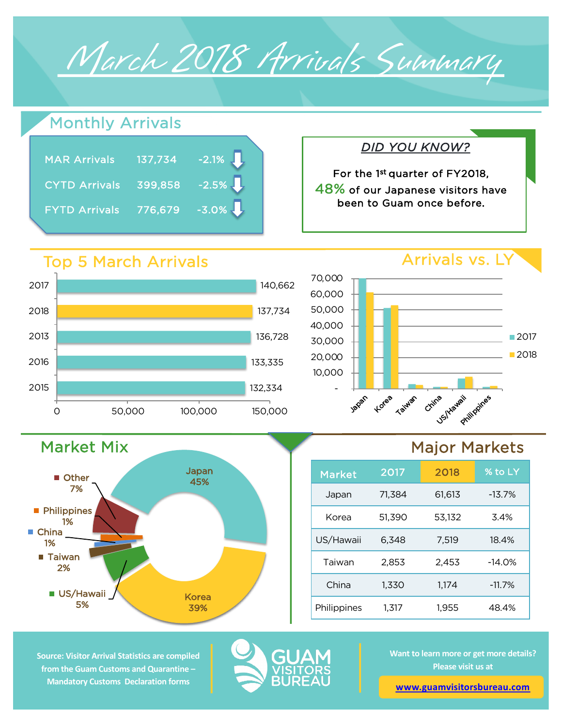# March 2018 Arrivals Summary

# Monthly Arrivals

| <b>MAR Arrivals</b>  | 137,734 | $-2.1\%$ |
|----------------------|---------|----------|
| <b>CYTD Arrivals</b> | 399,858 | $-2.5\%$ |
| <b>FYTD Arrivals</b> | 776,679 | $-3.0\%$ |

### Top 5 March Arrivals



Japan 45%

Korea 39%



*DID YOU KNOW?*

For the 1st quarter of FY2018, 48% of our Japanese visitors have been to Guam once before.

# Major Markets



**Source: Visitor Arrival Statistics are compiled from the Guam Customs and Quarantine – Mandatory Customs Declaration forms** 

Market Mix

**US/Hawaii** 5%

■ Taiwan 2%

**Philippines** 1%

**Other** 7%

■ China 1%



**Want to learn more or get more details? Please visit us at** 

**[www.guamvisitorsbureau.co](https://www.guamvisitorsbureau.com/research-and-reports/research)m**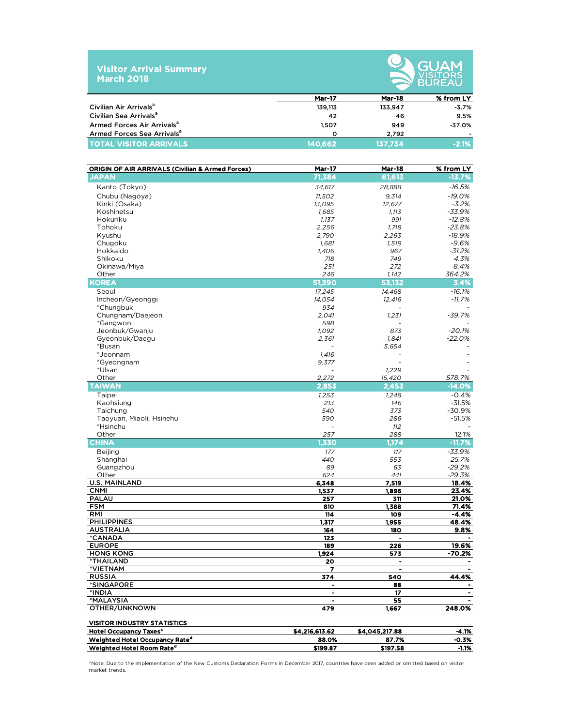| <b>Visitor Arrival Summary</b> |  |
|--------------------------------|--|
| <b>March 2018</b>              |  |



|                                        |              | ___________ |                          |  |  |  |
|----------------------------------------|--------------|-------------|--------------------------|--|--|--|
|                                        | Mar-17       | Mar-18      | % from LY                |  |  |  |
| Civilian Air Arrivals <sup>a</sup>     | 139,113      | 133.947     | $-3.7%$                  |  |  |  |
| Civilian Sea Arrivals <sup>a</sup>     | 42           | 46          | 9.5%                     |  |  |  |
| Armed Forces Air Arrivals <sup>a</sup> | 1.507        | 949         | $-37.0%$                 |  |  |  |
| Armed Forces Sea Arrivals <sup>a</sup> | <sup>o</sup> | 2.792       | $\overline{\phantom{0}}$ |  |  |  |
| <b>TOTAL VISITOR ARRIVALS</b>          | 140.662      | 137.734     | $-2.1%$                  |  |  |  |

| <b>ORIGIN OF AIR ARRIVALS (Civilian &amp; Armed Forces)</b> | <b>Mar-17</b>  | <b>Mar-18</b>        | % from LY      |
|-------------------------------------------------------------|----------------|----------------------|----------------|
| <b>JAPAN</b>                                                | 71,384         | 61,613               | $-13.7%$       |
| Kanto (Tokyo)                                               | 34,617         | 28,888               | $-16.5%$       |
| Chubu (Nagoya)                                              | 11,502         | 9,314                | $-19.0%$       |
| Kinki (Osaka)                                               | 13,095         | 12,677               | $-3.2%$        |
| Koshinetsu                                                  | 1,685          | 1,113                | -33.9%         |
| Hokuriku                                                    | 1,137          | 991                  | $-12.8%$       |
| Tohoku                                                      | 2,256          | 1,718                | $-23.8%$       |
| Kyushu                                                      | 2,790          | 2,263                | $-18.9%$       |
| Chugoku                                                     | 1,681          | 1,519                | $-9.6%$        |
| Hokkaido                                                    | 1,406          | 967                  | $-31.2%$       |
| Shikoku                                                     | 718            | 749                  | 4.3%           |
| Okinawa/Miya                                                | 251            | 272                  | 8.4%           |
| Other                                                       | 246            | 1,142                | 364.2%         |
| <b>KOREA</b>                                                | 51,390         | 53,132               | 3.4%           |
| Seoul                                                       | 17,245         | 14,468               | $-16.1%$       |
| Incheon/Gyeonggi                                            | 14,054         | 12,416               | -11.7%         |
| *Chungbuk                                                   | 934            |                      |                |
| Chungnam/Daejeon                                            | 2,041          | 1,231                | $-39.7%$       |
| *Gangwon                                                    | 598            |                      |                |
| Jeonbuk/Gwanju                                              | 1,092          | 873                  | $-20.1%$       |
| Gyeonbuk/Daegu                                              | 2,361          | 1,841                | $-22.0%$       |
| *Busan                                                      |                | 5,654                |                |
| *Jeonnam                                                    | 1,416          |                      |                |
| *Gyeongnam                                                  | 9,377          |                      |                |
| *Ulsan                                                      |                | 1,229                |                |
| Other                                                       | 2,272          | 15,420               | 578.7%         |
| <b>TAIWAN</b>                                               | 2,853          | 2,453                | $-14.0%$       |
| Taipei                                                      | 1,253          | 1,248                | $-0.4%$        |
| Kaohsiung                                                   | 213            | 146                  | $-31.5%$       |
| Taichung                                                    | 540            | 373                  | $-30.9%$       |
| Taoyuan, Miaoli, Hsinehu                                    | 590            | 286                  | $-51.5%$       |
| *Hsinchu                                                    |                | 112                  |                |
| Other                                                       | 257            | 288                  | 12.1%          |
| <b>CHINA</b>                                                | 1,330          | 1,174                | $-11.7%$       |
| <b>Beijing</b>                                              | 177            | 117                  | $-33.9%$       |
| Shanghai                                                    | 440            | 553                  | 25.7%          |
| Guangzhou                                                   | 89             | 63                   | $-29.2%$       |
| Other                                                       | 624            | 441                  | $-29.3%$       |
| <b>U.S. MAINLAND</b>                                        | 6,348          | 7,519                | 18.4%          |
| <b>CNMI</b>                                                 | 1,537          | 1,896                | 23.4%          |
| <b>PALAU</b><br><b>FSM</b>                                  | 257<br>810     | 311<br>1,388         | 21.0%<br>71.4% |
| <b>RMI</b>                                                  | 114            | 109                  | $-4.4%$        |
| <b>PHILIPPINES</b>                                          | 1,317          | 1,955                | 48.4%          |
| <b>AUSTRALIA</b>                                            | 164            | 180                  | 9.8%           |
| *CANADA                                                     | 123            |                      |                |
| <b>EUROPE</b>                                               | 189            | 226                  | 19.6%          |
| <b>HONG KONG</b>                                            | 1,924          | 573                  | -70.2%         |
| <b>*THAILAND</b>                                            | 20             | ٠                    |                |
| *VIETNAM                                                    | 7              | $\ddot{\phantom{1}}$ | $\blacksquare$ |
| <b>RUSSIA</b>                                               | 374            | 540                  | 44.4%          |
| *SINGAPORE                                                  | $\blacksquare$ | 88                   | $\bullet$      |
| *INDIA                                                      |                | 17                   |                |
| *MALAYSIA                                                   | ٠              | 55                   |                |
| OTHER/UNKNOWN                                               | 479            | 1,667                | 248.0%         |
| <b>VISITOR INDUSTRY STATISTICS</b>                          |                |                      |                |
| Hotel Occupancy Taxes <sup>c</sup>                          | \$4,216,613.62 | \$4,045,217.88       | -4.1%          |
| Weighted Hotel Occupancy Rate <sup>d</sup>                  | 88.0%          | 87.7%                | -0.3%          |
| Weighted Hotel Room Rate <sup>d</sup>                       | \$199.87       | \$197.58             | -1.1%          |

\*Note: Due to the implementation of the New Customs Declaration Forms in December 2017, countries have been added or omitted based on visitor market trends.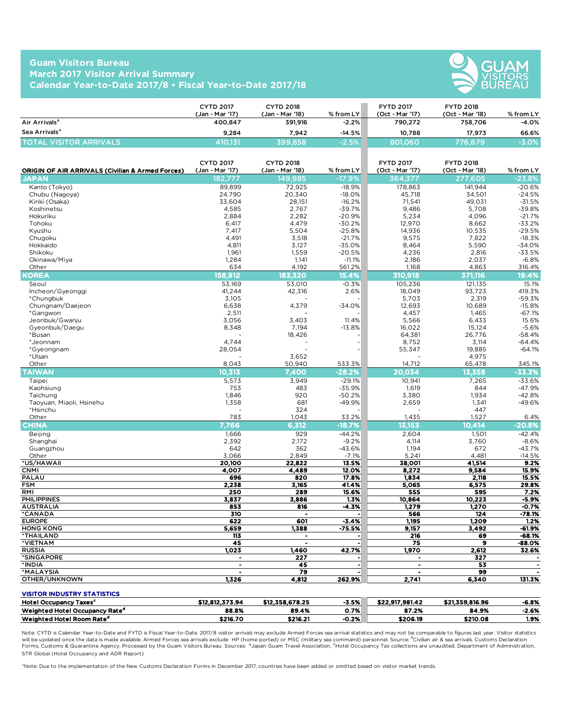#### **Guam Visitors Bureau March 2017 Visitor Arrival Summary Calendar Year-to-Date 2017/8 • Fiscal Year-to-Date 2017/18**



|                               | <b>CYTD 2017</b><br>(Jan - Mar '17) | <b>CYTD 2018</b><br>(Jan - Mar '18) | $%$ from LY $ $ | <b>FYTD 2017</b><br>(Oct - Mar '17) | <b>FYTD 2018</b><br>(Oct - Mar '18) | % from LY |
|-------------------------------|-------------------------------------|-------------------------------------|-----------------|-------------------------------------|-------------------------------------|-----------|
| Air Arrivals <sup>a</sup>     | 400.847                             | 391.916                             | $-2.2\%$        | 790.272                             | 758,706                             | $-4.0%$   |
| Sea Arrivals <sup>a</sup>     | 9.284                               | 7.942                               | $-14.5%$        | 10.788                              | 17.973                              | 66.6%     |
| <b>TOTAL VISITOR ARRIVALS</b> | 410.131                             | 399,858                             | $-2.5%$         | 801,060                             | 776.679                             | $-3.0%$   |

| <b>ORIGIN OF AIR ARRIVALS (Civilian &amp; Armed Forces)</b> | <b>CYTD 2017</b><br>(Jan - Mar '17) | <b>CYTD 2018</b><br>(Jan - Mar '18) | % from LY      | <b>FYTD 2017</b><br>(Oct - Mar '17) | <b>FYTD 2018</b><br>(Oct - Mar '18) | % from LY       |
|-------------------------------------------------------------|-------------------------------------|-------------------------------------|----------------|-------------------------------------|-------------------------------------|-----------------|
| <b>JAPAN</b>                                                | 182.777                             | 149.985                             | $-17.9%$       | 364.377                             | 277.605                             | $-23.8%$        |
| Kanto (Tokyo)                                               | 89.899                              | 72.925                              | $-18.9%$       | 178.863                             | 141,944                             | $-20.6%$        |
| Chubu (Nagoya)                                              | 24.790                              | 20.340                              | $-18.0%$       | 45,718                              | 34,501                              | $-24.5%$        |
| Kinki (Osaka)                                               | 33,604                              | 28,151                              | $-16.2%$       | 71,541                              | 49,031                              | $-31.5%$        |
| Koshinetsu                                                  | 4.585                               | 2.767                               | $-39.7%$       | 9.486                               | 5,708                               | $-39.8%$        |
| Hokuriku                                                    | 2,884                               | 2,282                               | $-20.9%$       | 5,234                               | 4,096                               | $-21.7%$        |
| Tohoku                                                      | 6,417                               | 4,479                               | $-30.2%$       | 12,970                              | 8,662                               | $-33.2%$        |
| Kyushu                                                      | 7,417                               | 5,504                               | $-25.8%$       | 14,936                              | 10,535                              | $-29.5%$        |
| Chugoku                                                     | 4,491                               | 3,518                               | $-21.7%$       | 9,575                               | 7,822                               | $-18.3%$        |
| Hokkaido                                                    | 4,811                               | 3,127                               | $-35.0%$       | 8,464                               | 5,590                               | $-34.0%$        |
| Shikoku                                                     | 1,961                               | 1,559                               | $-20.5%$       | 4,236                               | 2,816                               | $-33.5%$        |
| Okinawa/Miya                                                | 1,284                               | 1,141                               | $-11.1%$       | 2,186                               | 2,037                               | $-6.8%$         |
| Other                                                       | 634                                 | 4,192                               | 561.2%         | 1,168                               | 4,863                               | 316.4%          |
| <b>KOREA</b>                                                | 158,912                             | 183,320                             | 15.4%          | 310,918                             | 371,116                             | 19.4%           |
| Seoul                                                       | 53.169                              | 53.010                              | $-0.3%$        | 105.236                             | 121.135                             | 15.1%           |
| Incheon/Gyeonggi                                            | 41,244                              | 42,316                              | 2.6%           | 18,049                              | 93,723                              | 419.3%          |
| *Chungbuk                                                   | 3,105                               |                                     |                | 5,703                               | 2,319                               | $-59.3%$        |
| Chungnam/Daejeon                                            | 6,638                               | 4,379                               | $-34.0%$       | 12,693                              | 10,689                              | $-15.8%$        |
| *Gangwon                                                    | 2,511                               |                                     |                | 4,457                               | 1,465                               | $-67.1%$        |
| Jeonbuk/Gwanju                                              | 3,056                               | 3,403                               | 11.4%          | 5,566                               | 6,433                               | 15.6%           |
| Gyeonbuk/Daegu                                              | 8,348                               | 7,194                               | $-13.8%$       | 16.022                              | 15,124                              | $-5.6%$         |
| *Busan                                                      |                                     | 18,426                              |                | 64,381                              | 26,776                              | $-58.4%$        |
| *Jeonnam                                                    | 4,744                               |                                     |                | 8,752                               | 3,114                               | $-64.4%$        |
| *Gyeongnam                                                  | 28,054                              |                                     |                | 55,347                              | 19,885                              | $-64.1%$        |
| *Ulsan                                                      |                                     | 3,652                               |                |                                     | 4,975                               |                 |
| Other                                                       | 8.043                               | 50.940                              | 533.3%         | 14,712                              | 65,478                              | 345.1%          |
| <b>TAIWAN</b>                                               | 10.313                              | 7.400                               | $-28.2%$       | 20,034                              | 13.358                              | -33.3%          |
| Taipei                                                      | 5,573                               | 3,949                               | $-29.1%$       | 10,941                              | 7,265                               | $-33.6%$        |
| Kaohsiung                                                   | 753                                 | 483                                 | $-35.9%$       | 1,619                               | 844                                 | $-47.9%$        |
| Taichung                                                    | 1,846                               | 920                                 | $-50.2%$       | 3,380                               | 1.934                               | $-42.8%$        |
| Taoyuan, Miaoli, Hsinehu                                    | 1,358                               | 681                                 | $-49.9%$       | 2,659                               | 1,341                               | $-49.6%$        |
| *Hsinchu                                                    |                                     | 324                                 |                |                                     | 447                                 |                 |
| Other                                                       | 783                                 | 1,043                               | 33.2%          | 1,435                               | 1,527                               | 6.4%            |
| <b>CHINA</b>                                                | 7,766                               | 6,312                               | $-18.7%$       | 13,153                              | 10,414                              | $-20.8%$        |
| Beijing                                                     | 1.666                               | 929                                 | $-44.2%$       | 2.604                               | 1.501                               | $-42.4%$        |
| Shanghai                                                    | 2,392                               | 2,172                               | $-9.2%$        | 4,114                               | 3,760                               | $-8.6%$         |
| Guangzhou                                                   | 642                                 | 362                                 | $-43.6%$       | 1,194                               | 672                                 | $-43.7%$        |
| Other                                                       | 3,066                               | 2,849                               | $-7.1%$        | 5,241                               | 4,481                               | $-14.5%$        |
| *US/HAWAII                                                  | 20,100                              | 22,822                              | 13.5%          | 38,001                              | 41.514                              | 9.2%            |
| <b>CNMI</b>                                                 | 4.007                               | 4,489                               | 12.0%          | 8,272                               | 9.584                               | 15.9%           |
| PALAU                                                       | 696                                 | 820                                 | 17.8%          | 1,834                               | 2,118                               | 15.5%           |
| <b>FSM</b><br>RMI                                           | 2,238                               | 3,165                               | 41.4%          | 5,065                               | 6,575                               | 29.8%           |
| <b>PHILIPPINES</b>                                          | 250<br>3,837                        | 289<br>3,886                        | 15.6%<br>1.3%  | 555<br>10,864                       | 595<br>10,223                       | 7.2%<br>$-5.9%$ |
| <b>AUSTRALIA</b>                                            | 853                                 | 816                                 | $-4.3%$        | 1,279                               | 1,270                               | $-0.7%$         |
| *CANADA                                                     | 310                                 |                                     |                | 566                                 | 124                                 | $-78.1%$        |
| <b>EUROPE</b>                                               | 622                                 | 601                                 | $-3.4%$        | 1,195                               | 1.209                               | 1.2%            |
| <b>HONG KONG</b>                                            | 5,659                               | 1,388                               | $-75.5%$       | 9,157                               | 3,492                               | $-61.9%$        |
| *THAILAND                                                   | 113                                 | $\blacksquare$                      |                | 216                                 | 69                                  | -68.1%          |
| *VIETNAM                                                    | 45                                  | $\overline{a}$                      |                | 75                                  | $\mathbf{9}$                        | $-88.0%$        |
| <b>RUSSIA</b>                                               | 1.023                               | 1.460                               | 42.7%          | 1,970                               | 2.612                               | 32.6%           |
| *SINGAPORE                                                  | $\bullet$                           | 227                                 |                | $\blacksquare$                      | 327                                 |                 |
| *INDIA                                                      | $\bullet$                           | 45                                  | $\blacksquare$ | $\blacksquare$                      | 53                                  | $\bullet$       |
| *MALAYSIA                                                   | $\overline{\phantom{a}}$            | 79                                  |                | $\overline{\phantom{a}}$            | 99                                  |                 |
| OTHER/UNKNOWN                                               | 1,326                               | 4,812                               | 262.9%         | 2,741                               | 6,340                               | 131.3%          |
| <b>VISITOR INDUSTRY STATISTICS</b>                          |                                     |                                     |                |                                     |                                     |                 |

| <b>Hotel Occupancy Taxes<sup>c</sup></b>   | \$12,812,373.94 | \$12,358,678.25 | $-3.5%$ | \$22,917,981.42 | \$21,359,816.96 | -6.8% |
|--------------------------------------------|-----------------|-----------------|---------|-----------------|-----------------|-------|
| Weighted Hotel Occupancy Rate <sup>d</sup> | 88.8%           | 89.4%           | 0.7%    | 87.2%           | 84.9%           | 2.6%  |
| Weighted Hotel Room Rate <sup>d</sup>      | \$216.70        | \$216.21        | $-0.2%$ | \$206.19        | \$210.08        | 1.9%  |

Note: CYTD is Calendar Year-to-Date and FYTD is Fiscal Year-to-Date. 2017/8 visitor arrivals may exclude Armed Forces sea arrival statistics and may not be comparable to figures last year. Visitor statistics will be updated once the data is made available. Armed Forces sea arrivals exclude HP (home ported) or MSC (military sea command) personnel. Source: <sup>a</sup>Civilian air & sea arrivals. Customs Declaration Forms, Customs & Quarantine Agency. Processed by the Guam Visitors Bureau. Sources: 『Japan Guam Travel Association, <sup>C</sup>Hotel Occupancy Tax collections are unaudited. Department of Administration, STR Global (Hotel Occupancy and ADR Report)

\*Note: Due to the implementation of the New Customs Declaration Forms in December 2017, countries have been added or omitted based on visitor market trends.